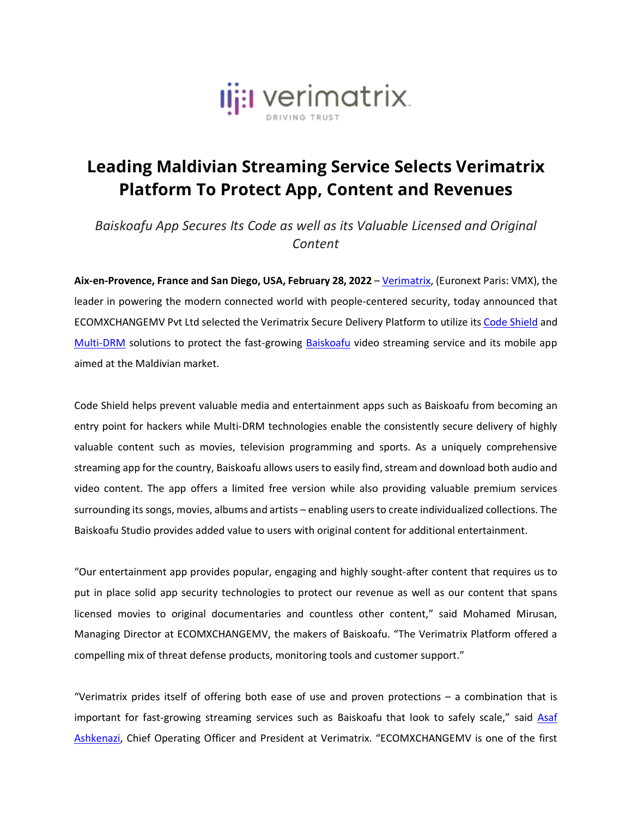

## **Leading Maldivian Streaming Service Selects Verimatrix Platform To Protect App, Content and Revenues**

*Baiskoafu App Secures Its Code as well as its Valuable Licensed and Original Content*

**Aix-en-Provence, France and San Diego, USA, February 28, 2022** – [Verimatrix,](http://www.verimatrix.com/) (Euronext Paris: VMX), the leader in powering the modern connected world with people-centered security, today announced that ECOMXCHANGEMV Pvt Ltd selected the Verimatrix Secure Delivery Platform to utilize its Code [Shield](https://www.verimatrix.com/products/code-protection/) and [Multi-DRM](https://www.verimatrix.com/products/multi-drm/) solutions to protect the fast-growing [Baiskoafu](https://baiskoafu.com/) video streaming service and its mobile app aimed at the Maldivian market.

Code Shield helps prevent valuable media and entertainment apps such as Baiskoafu from becoming an entry point for hackers while Multi-DRM technologies enable the consistently secure delivery of highly valuable content such as movies, television programming and sports. As a uniquely comprehensive streaming app for the country, Baiskoafu allows users to easily find, stream and download both audio and video content. The app offers a limited free version while also providing valuable premium services surrounding its songs, movies, albums and artists – enabling usersto create individualized collections. The Baiskoafu Studio provides added value to users with original content for additional entertainment.

"Our entertainment app provides popular, engaging and highly sought-after content that requires us to put in place solid app security technologies to protect our revenue as well as our content that spans licensed movies to original documentaries and countless other content," said Mohamed Mirusan, Managing Director at ECOMXCHANGEMV, the makers of Baiskoafu. "The Verimatrix Platform offered a compelling mix of threat defense products, monitoring tools and customer support."

"Verimatrix prides itself of offering both ease of use and proven protections – a combination that is important for fast-growing streaming services such as Baiskoafu that look to safely scale," said [Asaf](https://www.linkedin.com/in/asafashkenazi/) [Ashkenazi,](https://www.linkedin.com/in/asafashkenazi/) Chief Operating Officer and President at Verimatrix. "ECOMXCHANGEMV is one of the first